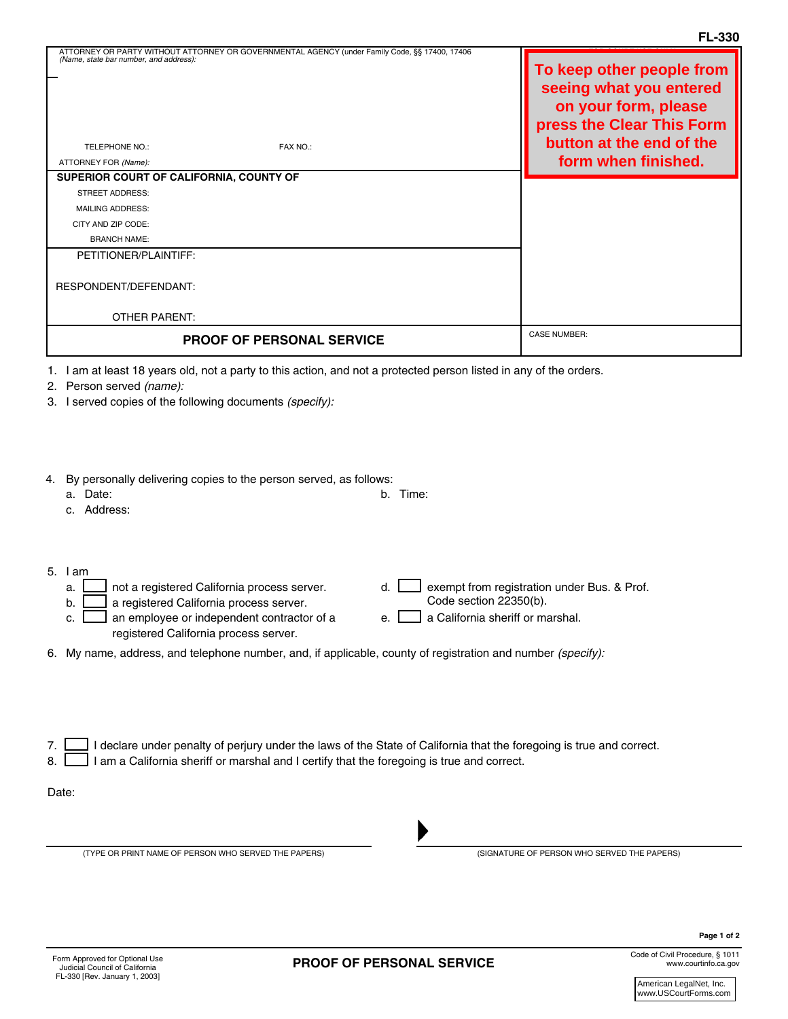| ATTORNEY OR PARTY WITHOUT ATTORNEY OR GOVERNMENTAL AGENCY (under Family Code, §§ 17400, 17406                                                                                                                                                                                                                                                                                                                                                               | FL-330                                                                                                                                                       |
|-------------------------------------------------------------------------------------------------------------------------------------------------------------------------------------------------------------------------------------------------------------------------------------------------------------------------------------------------------------------------------------------------------------------------------------------------------------|--------------------------------------------------------------------------------------------------------------------------------------------------------------|
| (Name, state bar number, and address):<br>TELEPHONE NO.:<br>FAX NO.:<br>ATTORNEY FOR (Name):<br>SUPERIOR COURT OF CALIFORNIA, COUNTY OF<br><b>STREET ADDRESS:</b><br><b>MAILING ADDRESS:</b><br>CITY AND ZIP CODE:<br><b>BRANCH NAME:</b><br>PETITIONER/PLAINTIFF:<br>RESPONDENT/DEFENDANT:                                                                                                                                                                 | To keep other people from<br>seeing what you entered<br>on your form, please<br>press the Clear This Form<br>button at the end of the<br>form when finished. |
|                                                                                                                                                                                                                                                                                                                                                                                                                                                             |                                                                                                                                                              |
| <b>OTHER PARENT:</b>                                                                                                                                                                                                                                                                                                                                                                                                                                        | <b>CASE NUMBER:</b>                                                                                                                                          |
| <b>PROOF OF PERSONAL SERVICE</b>                                                                                                                                                                                                                                                                                                                                                                                                                            |                                                                                                                                                              |
| 1. I am at least 18 years old, not a party to this action, and not a protected person listed in any of the orders.<br>2. Person served (name):<br>3. I served copies of the following documents (specify):<br>By personally delivering copies to the person served, as follows:<br>4.<br>a. Date:<br>b. Time:<br>c. Address:                                                                                                                                |                                                                                                                                                              |
| $5.$ $1am$<br>exempt from registration under Bus. & Prof.<br>not a registered California process server.<br>d.<br>a.<br>Code section 22350(b).<br>a registered California process server.<br>b.<br>c. $\Box$ an employee or independent contractor of a<br>a California sheriff or marshal.<br>e. L<br>registered California process server.<br>6. My name, address, and telephone number, and, if applicable, county of registration and number (specify): |                                                                                                                                                              |
| I declare under penalty of perjury under the laws of the State of California that the foregoing is true and correct.<br>7.<br>I am a California sheriff or marshal and I certify that the foregoing is true and correct.<br>8.<br>Date:                                                                                                                                                                                                                     |                                                                                                                                                              |
| (TYPE OR PRINT NAME OF PERSON WHO SERVED THE PAPERS)                                                                                                                                                                                                                                                                                                                                                                                                        | (SIGNATURE OF PERSON WHO SERVED THE PAPERS)                                                                                                                  |

E-Mail Address:

Code of Civil Procedure, § 1011 www.courtinfo.ca.gov

**Page 1 of 2**